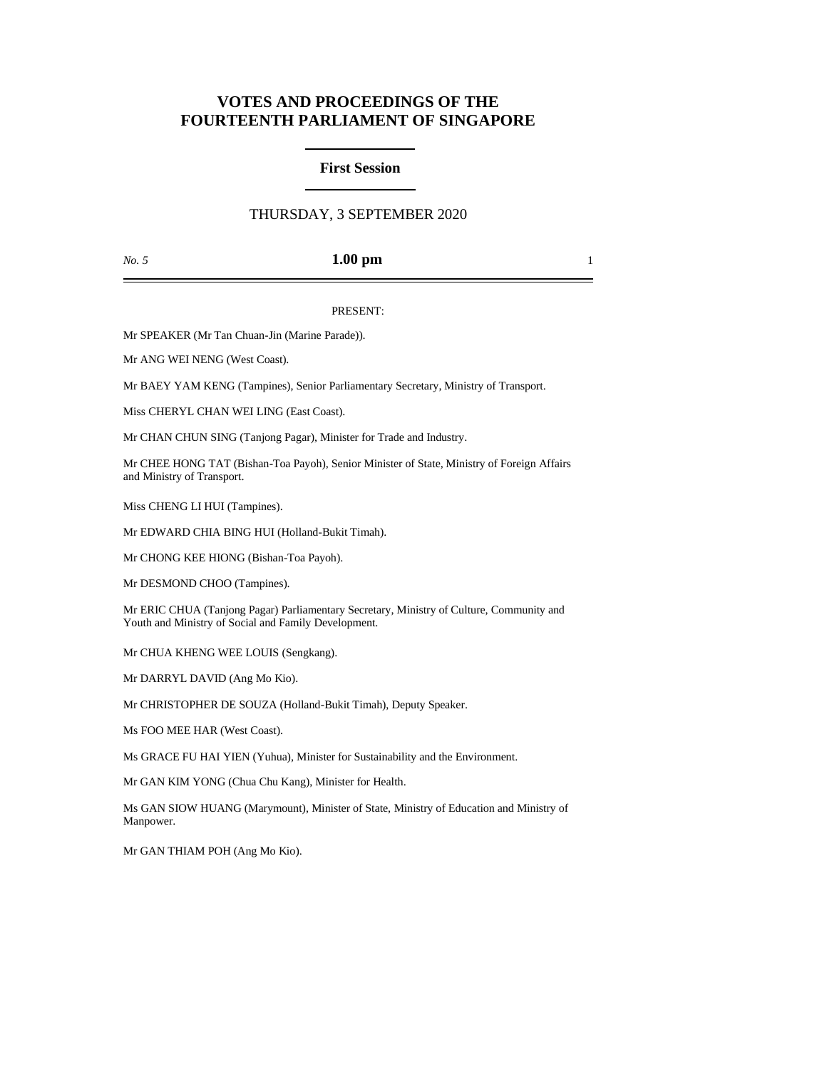# **VOTES AND PROCEEDINGS OF THE FOURTEENTH PARLIAMENT OF SINGAPORE**

## **First Session**

# THURSDAY, 3 SEPTEMBER 2020

### *No. 5* **1.00 pm** 1

#### PRESENT:

Mr SPEAKER (Mr Tan Chuan-Jin (Marine Parade)).

Mr ANG WEI NENG (West Coast).

Mr BAEY YAM KENG (Tampines), Senior Parliamentary Secretary, Ministry of Transport.

Miss CHERYL CHAN WEI LING (East Coast).

Mr CHAN CHUN SING (Tanjong Pagar), Minister for Trade and Industry.

Mr CHEE HONG TAT (Bishan-Toa Payoh), Senior Minister of State, Ministry of Foreign Affairs and Ministry of Transport.

Miss CHENG LI HUI (Tampines).

Mr EDWARD CHIA BING HUI (Holland-Bukit Timah).

Mr CHONG KEE HIONG (Bishan-Toa Payoh).

Mr DESMOND CHOO (Tampines).

Mr ERIC CHUA (Tanjong Pagar) Parliamentary Secretary, Ministry of Culture, Community and Youth and Ministry of Social and Family Development.

Mr CHUA KHENG WEE LOUIS (Sengkang).

Mr DARRYL DAVID (Ang Mo Kio).

Mr CHRISTOPHER DE SOUZA (Holland-Bukit Timah), Deputy Speaker.

Ms FOO MEE HAR (West Coast).

Ms GRACE FU HAI YIEN (Yuhua), Minister for Sustainability and the Environment.

Mr GAN KIM YONG (Chua Chu Kang), Minister for Health.

Ms GAN SIOW HUANG (Marymount), Minister of State, Ministry of Education and Ministry of Manpower.

Mr GAN THIAM POH (Ang Mo Kio).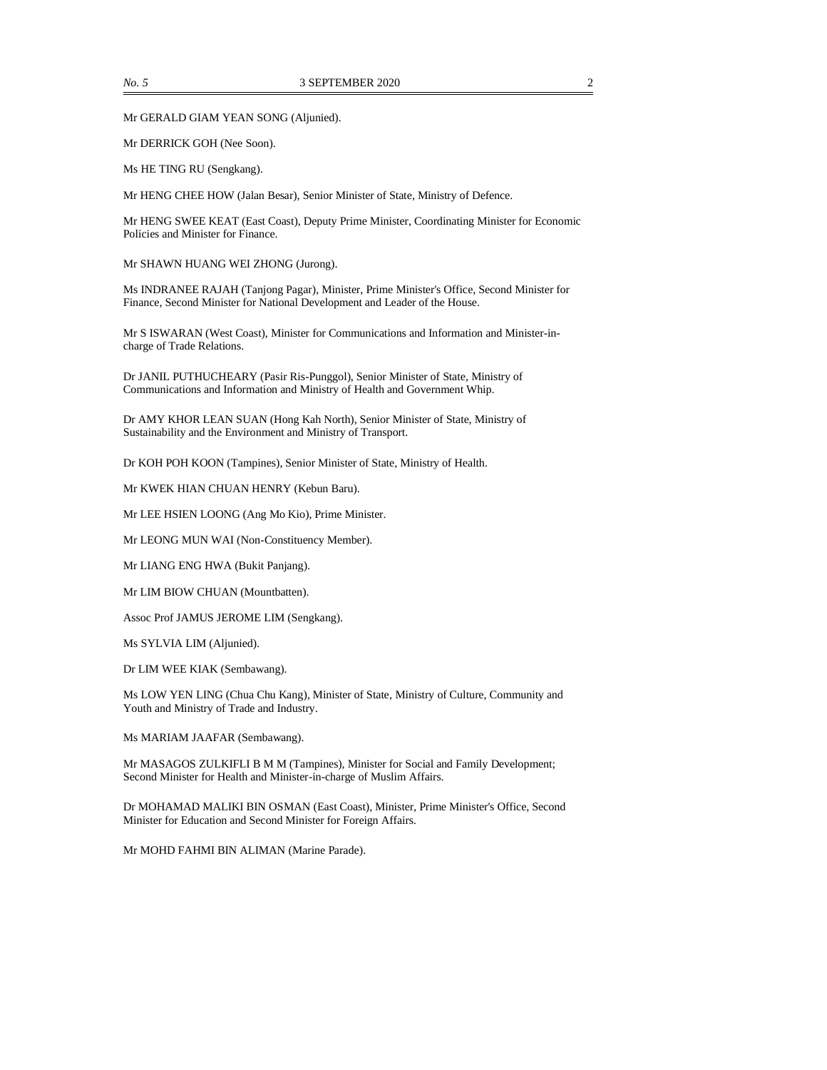Mr GERALD GIAM YEAN SONG (Aljunied).

Mr DERRICK GOH (Nee Soon).

Ms HE TING RU (Sengkang).

Mr HENG CHEE HOW (Jalan Besar), Senior Minister of State, Ministry of Defence.

Mr HENG SWEE KEAT (East Coast), Deputy Prime Minister, Coordinating Minister for Economic Policies and Minister for Finance.

Mr SHAWN HUANG WEI ZHONG (Jurong).

Ms INDRANEE RAJAH (Tanjong Pagar), Minister, Prime Minister's Office, Second Minister for Finance, Second Minister for National Development and Leader of the House.

Mr S ISWARAN (West Coast), Minister for Communications and Information and Minister-incharge of Trade Relations.

Dr JANIL PUTHUCHEARY (Pasir Ris-Punggol), Senior Minister of State, Ministry of Communications and Information and Ministry of Health and Government Whip.

Dr AMY KHOR LEAN SUAN (Hong Kah North), Senior Minister of State, Ministry of Sustainability and the Environment and Ministry of Transport.

Dr KOH POH KOON (Tampines), Senior Minister of State, Ministry of Health.

Mr KWEK HIAN CHUAN HENRY (Kebun Baru).

Mr LEE HSIEN LOONG (Ang Mo Kio), Prime Minister.

Mr LEONG MUN WAI (Non-Constituency Member).

Mr LIANG ENG HWA (Bukit Panjang).

Mr LIM BIOW CHUAN (Mountbatten).

Assoc Prof JAMUS JEROME LIM (Sengkang).

Ms SYLVIA LIM (Aljunied).

Dr LIM WEE KIAK (Sembawang).

Ms LOW YEN LING (Chua Chu Kang), Minister of State, Ministry of Culture, Community and Youth and Ministry of Trade and Industry.

Ms MARIAM JAAFAR (Sembawang).

Mr MASAGOS ZULKIFLI B M M (Tampines), Minister for Social and Family Development; Second Minister for Health and Minister-in-charge of Muslim Affairs.

Dr MOHAMAD MALIKI BIN OSMAN (East Coast), Minister, Prime Minister's Office, Second Minister for Education and Second Minister for Foreign Affairs.

Mr MOHD FAHMI BIN ALIMAN (Marine Parade).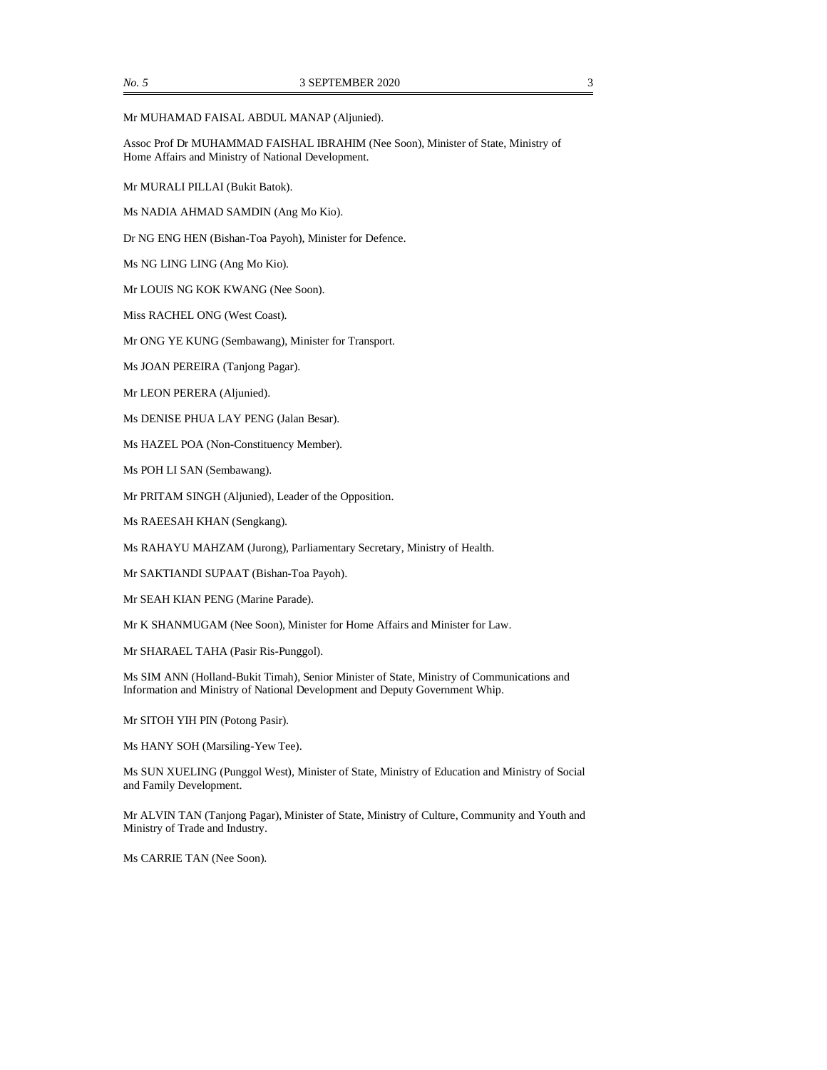#### Mr MUHAMAD FAISAL ABDUL MANAP (Aljunied).

Assoc Prof Dr MUHAMMAD FAISHAL IBRAHIM (Nee Soon), Minister of State, Ministry of Home Affairs and Ministry of National Development.

Mr MURALI PILLAI (Bukit Batok).

Ms NADIA AHMAD SAMDIN (Ang Mo Kio).

Dr NG ENG HEN (Bishan-Toa Payoh), Minister for Defence.

Ms NG LING LING (Ang Mo Kio).

Mr LOUIS NG KOK KWANG (Nee Soon).

Miss RACHEL ONG (West Coast).

Mr ONG YE KUNG (Sembawang), Minister for Transport.

Ms JOAN PEREIRA (Tanjong Pagar).

Mr LEON PERERA (Aljunied).

Ms DENISE PHUA LAY PENG (Jalan Besar).

Ms HAZEL POA (Non-Constituency Member).

Ms POH LI SAN (Sembawang).

Mr PRITAM SINGH (Aljunied), Leader of the Opposition.

Ms RAEESAH KHAN (Sengkang).

Ms RAHAYU MAHZAM (Jurong), Parliamentary Secretary, Ministry of Health.

Mr SAKTIANDI SUPAAT (Bishan-Toa Payoh).

Mr SEAH KIAN PENG (Marine Parade).

Mr K SHANMUGAM (Nee Soon), Minister for Home Affairs and Minister for Law.

Mr SHARAEL TAHA (Pasir Ris-Punggol).

Ms SIM ANN (Holland-Bukit Timah), Senior Minister of State, Ministry of Communications and Information and Ministry of National Development and Deputy Government Whip.

Mr SITOH YIH PIN (Potong Pasir).

Ms HANY SOH (Marsiling-Yew Tee).

Ms SUN XUELING (Punggol West), Minister of State, Ministry of Education and Ministry of Social and Family Development.

Mr ALVIN TAN (Tanjong Pagar), Minister of State, Ministry of Culture, Community and Youth and Ministry of Trade and Industry.

Ms CARRIE TAN (Nee Soon).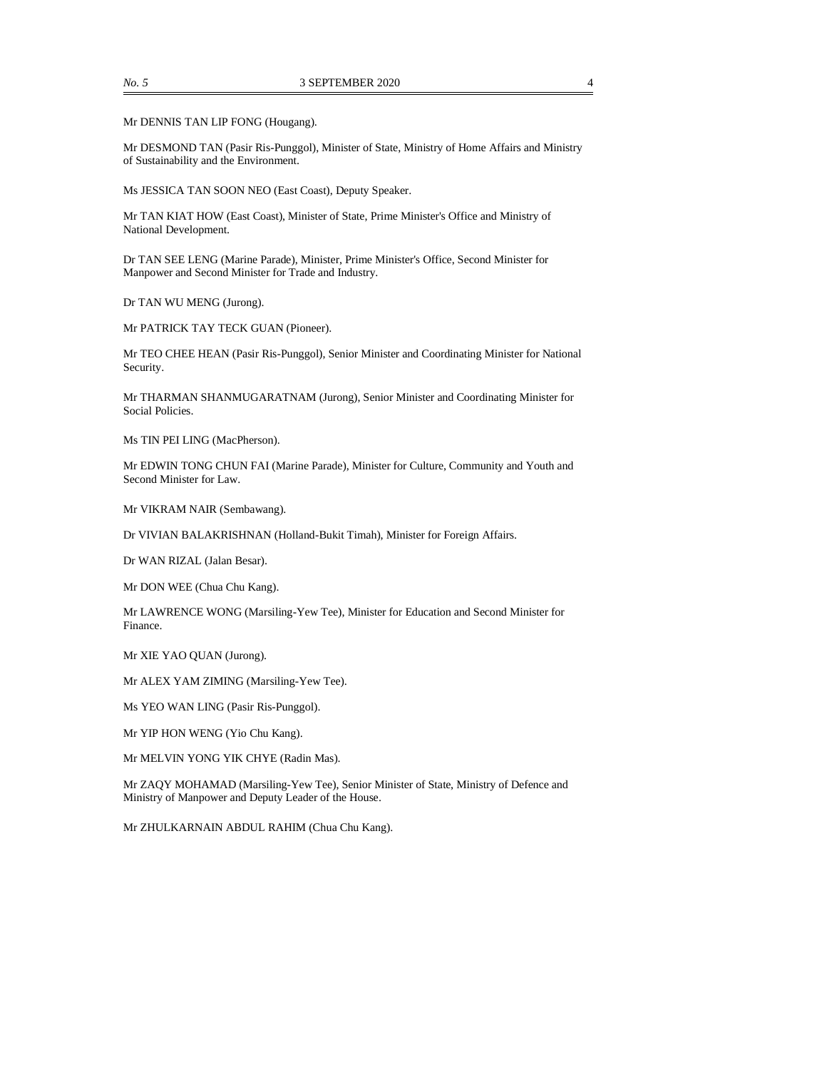Mr DENNIS TAN LIP FONG (Hougang).

Mr DESMOND TAN (Pasir Ris-Punggol), Minister of State, Ministry of Home Affairs and Ministry of Sustainability and the Environment.

Ms JESSICA TAN SOON NEO (East Coast), Deputy Speaker.

Mr TAN KIAT HOW (East Coast), Minister of State, Prime Minister's Office and Ministry of National Development.

Dr TAN SEE LENG (Marine Parade), Minister, Prime Minister's Office, Second Minister for Manpower and Second Minister for Trade and Industry.

Dr TAN WU MENG (Jurong).

Mr PATRICK TAY TECK GUAN (Pioneer).

Mr TEO CHEE HEAN (Pasir Ris-Punggol), Senior Minister and Coordinating Minister for National Security.

Mr THARMAN SHANMUGARATNAM (Jurong), Senior Minister and Coordinating Minister for Social Policies.

Ms TIN PEI LING (MacPherson).

Mr EDWIN TONG CHUN FAI (Marine Parade), Minister for Culture, Community and Youth and Second Minister for Law.

Mr VIKRAM NAIR (Sembawang).

Dr VIVIAN BALAKRISHNAN (Holland-Bukit Timah), Minister for Foreign Affairs.

Dr WAN RIZAL (Jalan Besar).

Mr DON WEE (Chua Chu Kang).

Mr LAWRENCE WONG (Marsiling-Yew Tee), Minister for Education and Second Minister for Finance.

Mr XIE YAO QUAN (Jurong).

Mr ALEX YAM ZIMING (Marsiling-Yew Tee).

Ms YEO WAN LING (Pasir Ris-Punggol).

Mr YIP HON WENG (Yio Chu Kang).

Mr MELVIN YONG YIK CHYE (Radin Mas).

Mr ZAQY MOHAMAD (Marsiling-Yew Tee), Senior Minister of State, Ministry of Defence and Ministry of Manpower and Deputy Leader of the House.

Mr ZHULKARNAIN ABDUL RAHIM (Chua Chu Kang).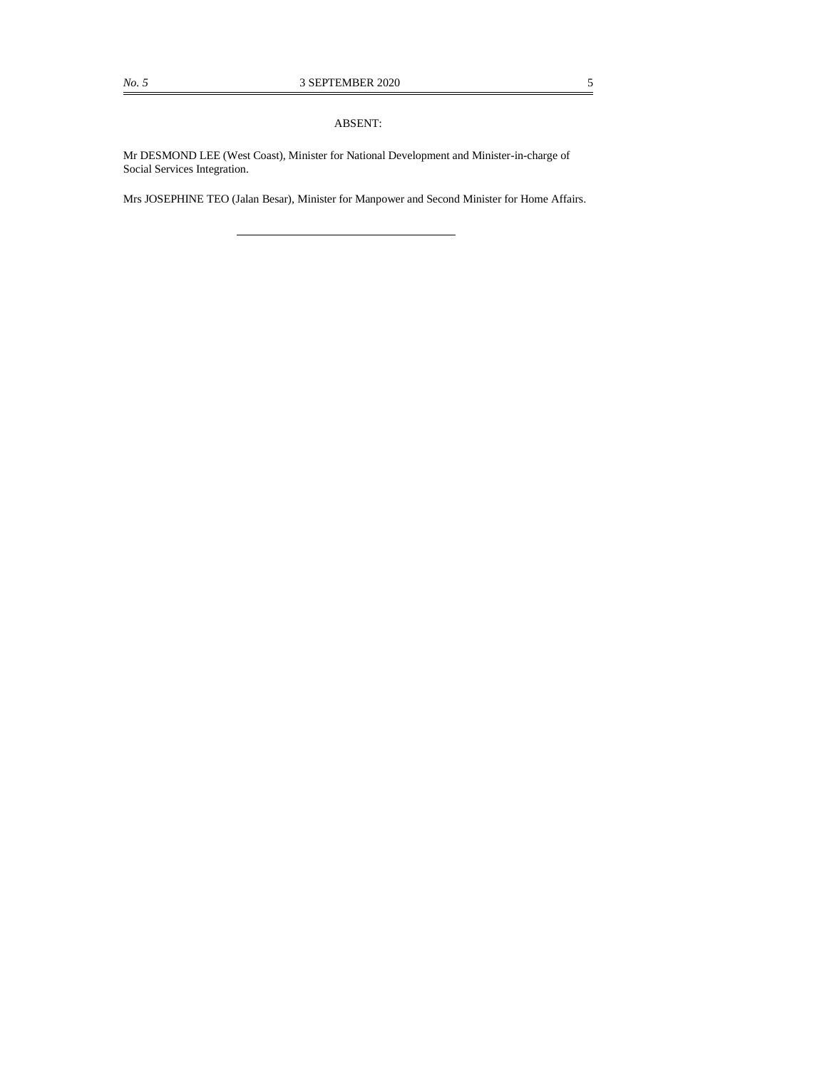#### ABSENT:

Mr DESMOND LEE (West Coast), Minister for National Development and Minister-in-charge of Social Services Integration.

Mrs JOSEPHINE TEO (Jalan Besar), Minister for Manpower and Second Minister for Home Affairs.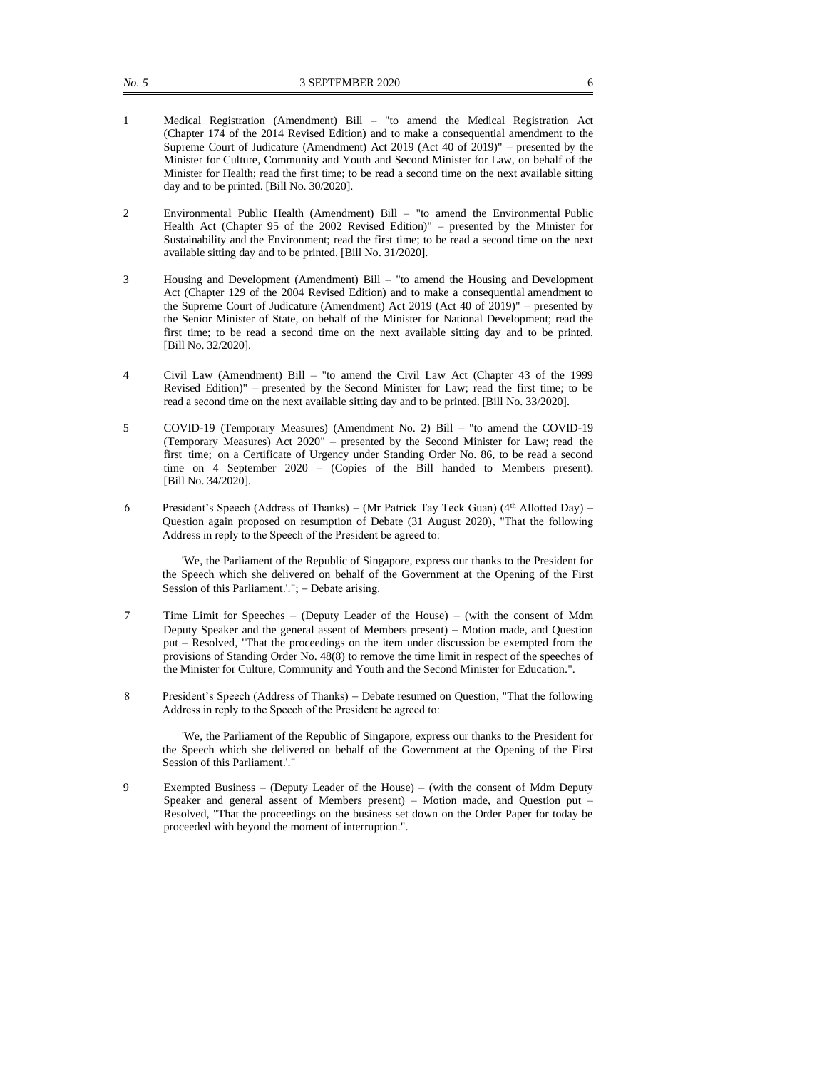- 1 Medical Registration (Amendment) Bill "to amend the Medical Registration Act (Chapter 174 of the 2014 Revised Edition) and to make a consequential amendment to the Supreme Court of Judicature (Amendment) Act 2019 (Act 40 of 2019)" – presented by the Minister for Culture, Community and Youth and Second Minister for Law, on behalf of the Minister for Health; read the first time; to be read a second time on the next available sitting day and to be printed. [Bill No. 30/2020].
- 2 Environmental Public Health (Amendment) Bill "to amend the Environmental Public Health Act (Chapter 95 of the 2002 Revised Edition)" – presented by the Minister for Sustainability and the Environment; read the first time; to be read a second time on the next available sitting day and to be printed. [Bill No. 31/2020].
- 3 Housing and Development (Amendment) Bill "to amend the Housing and Development Act (Chapter 129 of the 2004 Revised Edition) and to make a consequential amendment to the Supreme Court of Judicature (Amendment) Act 2019 (Act 40 of 2019)" – presented by the Senior Minister of State, on behalf of the Minister for National Development; read the first time; to be read a second time on the next available sitting day and to be printed. [Bill No. 32/2020].
- 4 Civil Law (Amendment) Bill "to amend the Civil Law Act (Chapter 43 of the 1999 Revised Edition)" – presented by the Second Minister for Law; read the first time; to be read a second time on the next available sitting day and to be printed. [Bill No. 33/2020].
- 5 COVID-19 (Temporary Measures) (Amendment No. 2) Bill "to amend the COVID-19 (Temporary Measures) Act 2020" – presented by the Second Minister for Law; read the first time; on a Certificate of Urgency under Standing Order No. 86, to be read a second time on 4 September 2020 – (Copies of the Bill handed to Members present). [Bill No. 34/2020].
- 6 President's Speech (Address of Thanks) (Mr Patrick Tay Teck Guan) (4<sup>th</sup> Allotted Day) Question again proposed on resumption of Debate (31 August 2020), "That the following Address in reply to the Speech of the President be agreed to:

'We, the Parliament of the Republic of Singapore, express our thanks to the President for the Speech which she delivered on behalf of the Government at the Opening of the First Session of this Parliament.'."; − Debate arising.

- 7 Time Limit for Speeches − (Deputy Leader of the House) − (with the consent of Mdm Deputy Speaker and the general assent of Members present) − Motion made, and Question put – Resolved, "That the proceedings on the item under discussion be exempted from the provisions of Standing Order No. 48(8) to remove the time limit in respect of the speeches of the Minister for Culture, Community and Youth and the Second Minister for Education.".
- 8 President's Speech (Address of Thanks) − Debate resumed on Question, "That the following Address in reply to the Speech of the President be agreed to:

'We, the Parliament of the Republic of Singapore, express our thanks to the President for the Speech which she delivered on behalf of the Government at the Opening of the First Session of this Parliament.'."

9 Exempted Business – (Deputy Leader of the House) – (with the consent of Mdm Deputy Speaker and general assent of Members present) – Motion made, and Question put – Resolved, "That the proceedings on the business set down on the Order Paper for today be proceeded with beyond the moment of interruption.".